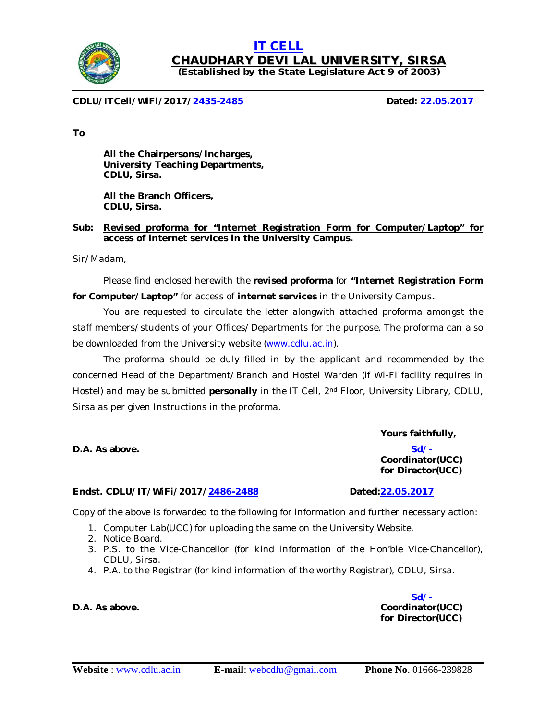

# **(Established by the State Legislature Act 9 of 2003)**

**CHAUDHARY DEVI LAL UNIVERSITY, SIRSA**

**IT CELL**

**CDLU/ITCell/WiFi/2017/2435-2485 Dated: 22.05.2017**

**To**

**All the Chairpersons/Incharges, University Teaching Departments, CDLU, Sirsa.**

**All the Branch Officers, CDLU, Sirsa.**

#### **Sub: Revised proforma for "Internet Registration Form for Computer/Laptop" for access of internet services in the University Campus.**

Sir/Madam,

Please find enclosed herewith the **revised proforma** for **"Internet Registration Form for Computer/Laptop"** for access of **internet services** in the University Campus**.** 

You are requested to circulate the letter alongwith attached proforma amongst the staff members/students of your Offices/Departments for the purpose. The proforma can also be downloaded from the University website (www.cdlu.ac.in).

The proforma should be duly filled in by the applicant and recommended by the concerned Head of the Department/Branch and Hostel Warden (if Wi-Fi facility requires in Hostel) and may be submitted **personally** in the IT Cell, 2<sup>nd</sup> Floor, University Library, CDLU, Sirsa as per given Instructions in the proforma.

#### **Endst. CDLU/IT/WiFi/2017/2486-2488 Dated:22.05.2017**

Copy of the above is forwarded to the following for information and further necessary action:

- 1. Computer Lab(UCC) for uploading the same on the University Website.
- 2. Notice Board.
- 3. P.S. to the Vice-Chancellor (for kind information of the Hon'ble Vice-Chancellor), CDLU, Sirsa.
- 4. P.A. to the Registrar (for kind information of the worthy Registrar), CDLU, Sirsa.

**Sd/- D.A. As above. Coordinator(UCC)** *for* **Director(UCC)**



**Yours faithfully,**

**Coordinator(UCC)** *for* **Director(UCC)**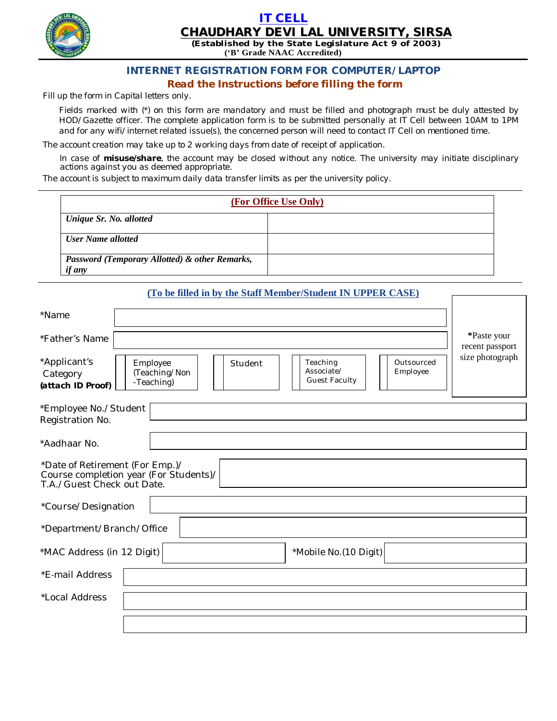

### **IT CELL CHAUDHARY DEVI LAL UNIVERSITY, SIRSA**

**(Established by the State Legislature Act 9 of 2003) ('B' Grade NAAC Accredited)**

## **INTERNET REGISTRATION FORM FOR COMPUTER/LAPTOP**

*Read the Instructions before filling the form*

*Fill up the form in Capital letters only.*

*Fields marked with (\*) on this form are mandatory and must be filled and photograph must be duly attested by HOD/Gazette officer. The complete application form is to be submitted personally at IT Cell between 10AM to 1PM and for any wifi/internet related issue(s), the concerned person will need to contact IT Cell on mentioned time.*

*The account creation may take up to 2 working days from date of receipt of application.*

*In case of misuse/share, the account may be closed without any notice. The university may initiate disciplinary actions against you as deemed appropriate.*

*The account is subject to maximum daily data transfer limits as per the university policy.*

| (For Office Use Only)                                           |  |  |  |
|-----------------------------------------------------------------|--|--|--|
| Unique Sr. No. allotted                                         |  |  |  |
| <b>User Name allotted</b>                                       |  |  |  |
| Password (Temporary Allotted) & other Remarks,<br><i>if any</i> |  |  |  |

#### **(To be filled in by the Staff Member/Student IN UPPER CASE)**

| *Name                                                                                                   |                                                                                                                                |                                |  |  |
|---------------------------------------------------------------------------------------------------------|--------------------------------------------------------------------------------------------------------------------------------|--------------------------------|--|--|
| *Father's Name                                                                                          |                                                                                                                                | *Paste your<br>recent passport |  |  |
| *Applicant's<br>Category<br>(attach ID Proof)                                                           | Teaching<br>Outsourced<br>Employee<br>Student<br>Associate/<br>Employee<br>(Teaching/Non<br><b>Guest Faculty</b><br>-Teaching) | size photograph                |  |  |
| *Employee No./Student<br>Registration No.                                                               |                                                                                                                                |                                |  |  |
| *Aadhaar No.                                                                                            |                                                                                                                                |                                |  |  |
| *Date of Retirement (For Emp.)/<br>Course completion year (For Students)/<br>T.A./Guest Check out Date. |                                                                                                                                |                                |  |  |
| *Course/Designation                                                                                     |                                                                                                                                |                                |  |  |
| *Department/Branch/Office                                                                               |                                                                                                                                |                                |  |  |
| *MAC Address (in 12 Digit)                                                                              | *Mobile No.(10 Digit)                                                                                                          |                                |  |  |
| *E-mail Address                                                                                         |                                                                                                                                |                                |  |  |
| *Local Address                                                                                          |                                                                                                                                |                                |  |  |
|                                                                                                         |                                                                                                                                |                                |  |  |